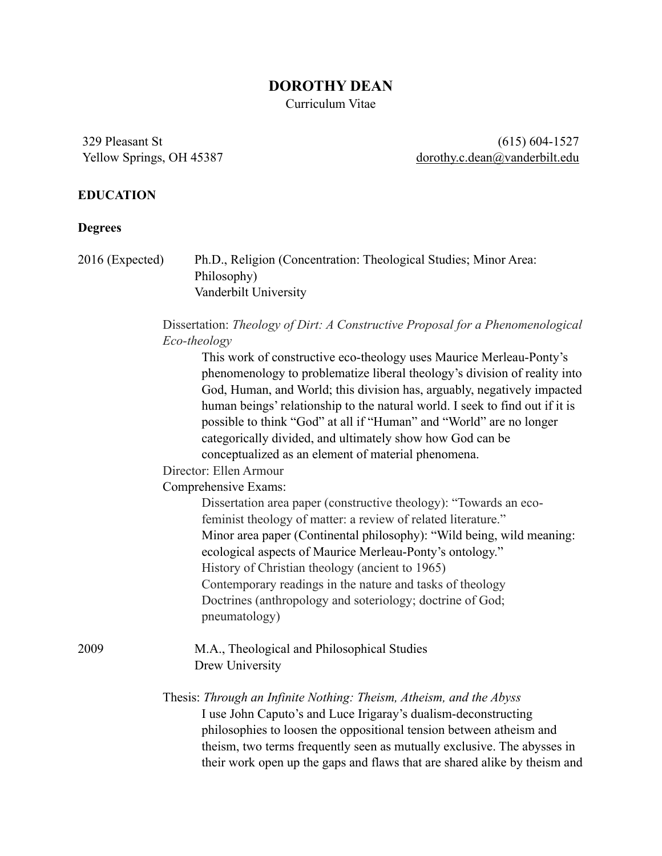#### **DOROTHY DEAN**

Curriculum Vitae

329 Pleasant St Yellow Springs, OH 45387

(615) 604-1527 [dorothy.c.dean@vanderbilt.edu](mailto:dorothy.c.dean@vanderbilt.edu)

#### **EDUCATION**

#### **Degrees**

2016 (Expected) Ph.D., Religion (Concentration: Theological Studies; Minor Area: Philosophy) Vanderbilt University

#### Dissertation: *Theology of Dirt: A Constructive Proposal for a Phenomenological Eco-theology*

This work of constructive eco-theology uses Maurice Merleau-Ponty's phenomenology to problematize liberal theology's division of reality into God, Human, and World; this division has, arguably, negatively impacted human beings' relationship to the natural world. I seek to find out if it is possible to think "God" at all if "Human" and "World" are no longer categorically divided, and ultimately show how God can be conceptualized as an element of material phenomena.

Director: Ellen Armour

Comprehensive Exams:

Dissertation area paper (constructive theology): "Towards an ecofeminist theology of matter: a review of related literature." Minor area paper (Continental philosophy): "Wild being, wild meaning: ecological aspects of Maurice Merleau-Ponty's ontology." History of Christian theology (ancient to 1965) Contemporary readings in the nature and tasks of theology Doctrines (anthropology and soteriology; doctrine of God; pneumatology)

2009 M.A., Theological and Philosophical Studies Drew University

> Thesis: *Through an Infinite Nothing: Theism, Atheism, and the Abyss*  I use John Caputo's and Luce Irigaray's dualism-deconstructing philosophies to loosen the oppositional tension between atheism and theism, two terms frequently seen as mutually exclusive. The abysses in their work open up the gaps and flaws that are shared alike by theism and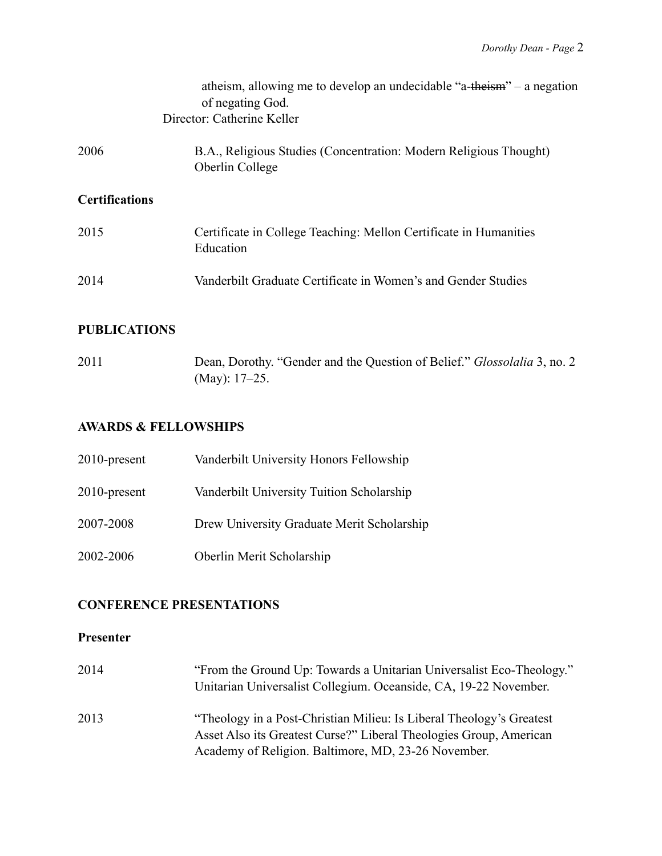|                       | atheism, allowing me to develop an undecidable "a-theism" – a negation<br>of negating God.<br>Director: Catherine Keller |
|-----------------------|--------------------------------------------------------------------------------------------------------------------------|
| 2006                  | B.A., Religious Studies (Concentration: Modern Religious Thought)<br>Oberlin College                                     |
| <b>Certifications</b> |                                                                                                                          |
| 2015                  | Certificate in College Teaching: Mellon Certificate in Humanities<br>Education                                           |
| 2014                  | Vanderbilt Graduate Certificate in Women's and Gender Studies                                                            |
|                       |                                                                                                                          |

# **PUBLICATIONS**

2011 Dean, Dorothy. "Gender and the Question of Belief." *Glossolalia* 3, no. 2 (May): 17–25.

### **AWARDS & FELLOWSHIPS**

| 2010-present | Vanderbilt University Honors Fellowship    |
|--------------|--------------------------------------------|
| 2010-present | Vanderbilt University Tuition Scholarship  |
| 2007-2008    | Drew University Graduate Merit Scholarship |
| 2002-2006    | Oberlin Merit Scholarship                  |

# **CONFERENCE PRESENTATIONS**

#### **Presenter**

| 2014 | "From the Ground Up: Towards a Unitarian Universalist Eco-Theology."<br>Unitarian Universalist Collegium. Oceanside, CA, 19-22 November.   |
|------|--------------------------------------------------------------------------------------------------------------------------------------------|
| 2013 | "Theology in a Post-Christian Milieu: Is Liberal Theology's Greatest<br>Asset Also its Greatest Curse?" Liberal Theologies Group, American |
|      | Academy of Religion. Baltimore, MD, 23-26 November.                                                                                        |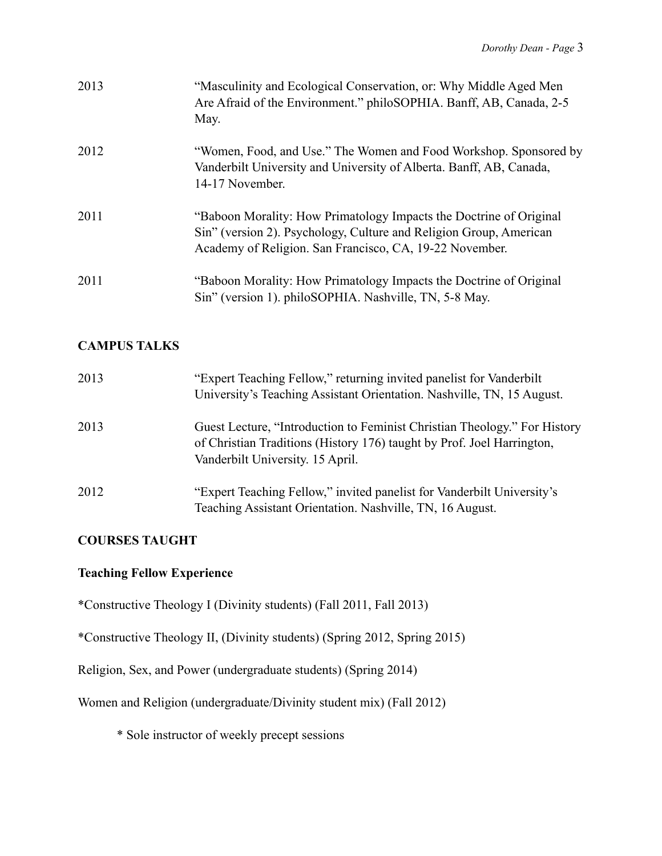| 2013 | "Masculinity and Ecological Conservation, or: Why Middle Aged Men<br>Are Afraid of the Environment." philoSOPHIA. Banff, AB, Canada, 2-5<br>May.                                                    |
|------|-----------------------------------------------------------------------------------------------------------------------------------------------------------------------------------------------------|
| 2012 | "Women, Food, and Use." The Women and Food Workshop. Sponsored by<br>Vanderbilt University and University of Alberta. Banff, AB, Canada,<br>14-17 November.                                         |
| 2011 | "Baboon Morality: How Primatology Impacts the Doctrine of Original<br>Sin" (version 2). Psychology, Culture and Religion Group, American<br>Academy of Religion. San Francisco, CA, 19-22 November. |
| 2011 | "Baboon Morality: How Primatology Impacts the Doctrine of Original<br>Sin" (version 1). philoSOPHIA. Nashville, TN, 5-8 May.                                                                        |

# **CAMPUS TALKS**

| 2013 | "Expert Teaching Fellow," returning invited panelist for Vanderbilt<br>University's Teaching Assistant Orientation. Nashville, TN, 15 August.                                           |
|------|-----------------------------------------------------------------------------------------------------------------------------------------------------------------------------------------|
| 2013 | Guest Lecture, "Introduction to Feminist Christian Theology." For History<br>of Christian Traditions (History 176) taught by Prof. Joel Harrington,<br>Vanderbilt University. 15 April. |
| 2012 | "Expert Teaching Fellow," invited panelist for Vanderbilt University's<br>Teaching Assistant Orientation. Nashville, TN, 16 August.                                                     |

# **COURSES TAUGHT**

# **Teaching Fellow Experience**

\*Constructive Theology I (Divinity students) (Fall 2011, Fall 2013)

\*Constructive Theology II, (Divinity students) (Spring 2012, Spring 2015)

Religion, Sex, and Power (undergraduate students) (Spring 2014)

Women and Religion (undergraduate/Divinity student mix) (Fall 2012)

\* Sole instructor of weekly precept sessions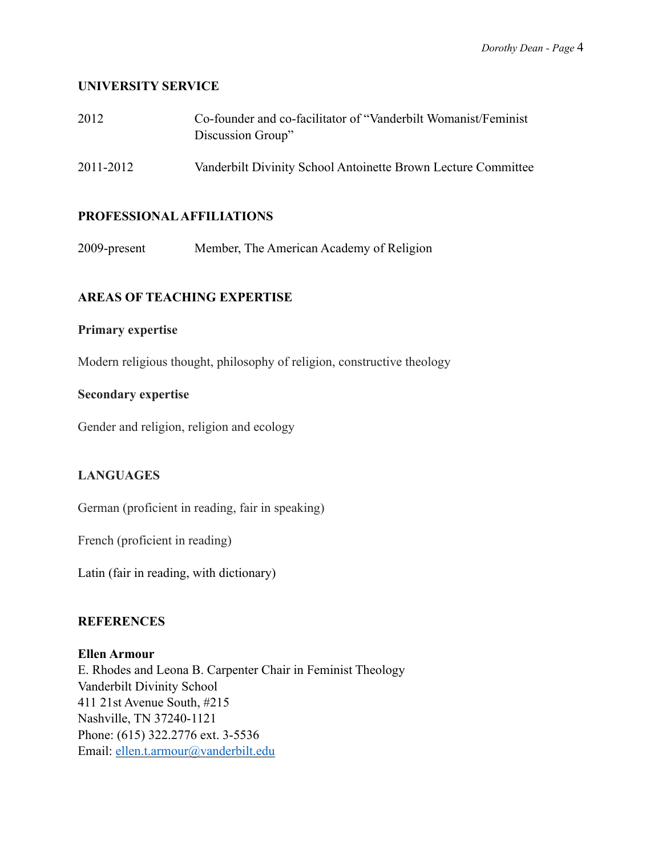#### **UNIVERSITY SERVICE**

| 2012      | Co-founder and co-facilitator of "Vanderbilt Womanist/Feminist"<br>Discussion Group" |
|-----------|--------------------------------------------------------------------------------------|
| 2011-2012 | Vanderbilt Divinity School Antoinette Brown Lecture Committee                        |

#### **PROFESSIONAL AFFILIATIONS**

2009-present Member, The American Academy of Religion

## **AREAS OF TEACHING EXPERTISE**

#### **Primary expertise**

Modern religious thought, philosophy of religion, constructive theology

#### **Secondary expertise**

Gender and religion, religion and ecology

## **LANGUAGES**

German (proficient in reading, fair in speaking)

French (proficient in reading)

Latin (fair in reading, with dictionary)

#### **REFERENCES**

## **Ellen Armour**

E. Rhodes and Leona B. Carpenter Chair in Feminist Theology Vanderbilt Divinity School 411 21st Avenue South, #215 Nashville, TN 37240-1121 Phone: (615) 322.2776 ext. 3-5536 Email: [ellen.t.armour@vanderbilt.edu](mailto:ellen.t.armour@vanderbilt.edu)